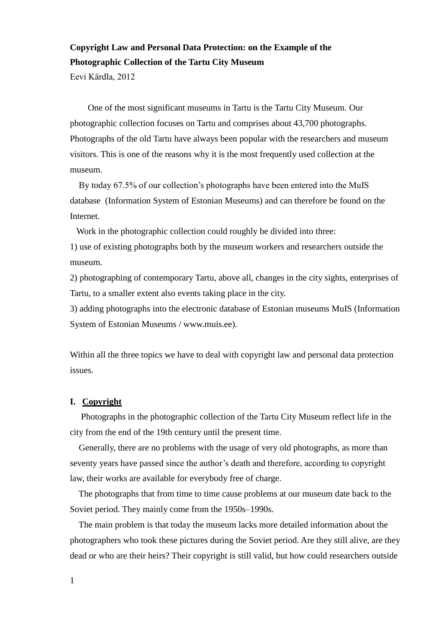## **Copyright Law and Personal Data Protection: on the Example of the Photographic Collection of the Tartu City Museum**

Eevi Kärdla, 2012

 One of the most significant museums in Tartu is the Tartu City Museum. Our photographic collection focuses on Tartu and comprises about 43,700 photographs. Photographs of the old Tartu have always been popular with the researchers and museum visitors. This is one of the reasons why it is the most frequently used collection at the museum.

 By today 67.5% of our collection's photographs have been entered into the MuIS database (Information System of Estonian Museums) and can therefore be found on the Internet.

Work in the photographic collection could roughly be divided into three:

1) use of existing photographs both by the museum workers and researchers outside the museum.

2) photographing of contemporary Tartu, above all, changes in the city sights, enterprises of Tartu, to a smaller extent also events taking place in the city.

3) adding photographs into the electronic database of Estonian museums MuIS (Information System of Estonian Museums / www.muis.ee).

Within all the three topics we have to deal with copyright law and personal data protection issues.

## **I. Copyright**

 Photographs in the photographic collection of the Tartu City Museum reflect life in the city from the end of the 19th century until the present time.

 Generally, there are no problems with the usage of very old photographs, as more than seventy years have passed since the author's death and therefore, according to copyright law, their works are available for everybody free of charge.

 The photographs that from time to time cause problems at our museum date back to the Soviet period. They mainly come from the 1950s–1990s.

 The main problem is that today the museum lacks more detailed information about the photographers who took these pictures during the Soviet period. Are they still alive, are they dead or who are their heirs? Their copyright is still valid, but how could researchers outside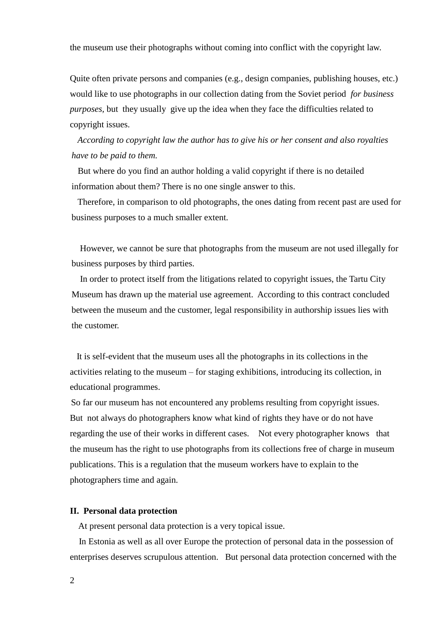the museum use their photographs without coming into conflict with the copyright law.

Quite often private persons and companies (e.g., design companies, publishing houses, etc.) would like to use photographs in our collection dating from the Soviet period *for business purposes,* but they usually give up the idea when they face the difficulties related to copyright issues.

 *According to copyright law the author has to give his or her consent and also royalties have to be paid to them.* 

 But where do you find an author holding a valid copyright if there is no detailed information about them? There is no one single answer to this.

 Therefore, in comparison to old photographs, the ones dating from recent past are used for business purposes to a much smaller extent.

 However, we cannot be sure that photographs from the museum are not used illegally for business purposes by third parties.

 In order to protect itself from the litigations related to copyright issues, the Tartu City Museum has drawn up the material use agreement. According to this contract concluded between the museum and the customer, legal responsibility in authorship issues lies with the customer.

 It is self-evident that the museum uses all the photographs in its collections in the activities relating to the museum – for staging exhibitions, introducing its collection, in educational programmes.

So far our museum has not encountered any problems resulting from copyright issues. But not always do photographers know what kind of rights they have or do not have regarding the use of their works in different cases. Not every photographer knows that the museum has the right to use photographs from its collections free of charge in museum publications. This is a regulation that the museum workers have to explain to the photographers time and again.

## **II. Personal data protection**

At present personal data protection is a very topical issue.

 In Estonia as well as all over Europe the protection of personal data in the possession of enterprises deserves scrupulous attention. But personal data protection concerned with the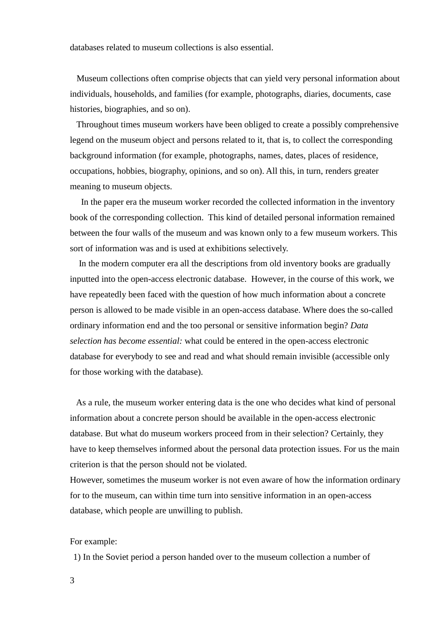databases related to museum collections is also essential.

 Museum collections often comprise objects that can yield very personal information about individuals, households, and families (for example, photographs, diaries, documents, case histories, biographies, and so on).

 Throughout times museum workers have been obliged to create a possibly comprehensive legend on the museum object and persons related to it, that is, to collect the corresponding background information (for example, photographs, names, dates, places of residence, occupations, hobbies, biography, opinions, and so on). All this, in turn, renders greater meaning to museum objects.

 In the paper era the museum worker recorded the collected information in the inventory book of the corresponding collection. This kind of detailed personal information remained between the four walls of the museum and was known only to a few museum workers. This sort of information was and is used at exhibitions selectively.

 In the modern computer era all the descriptions from old inventory books are gradually inputted into the open-access electronic database. However, in the course of this work, we have repeatedly been faced with the question of how much information about a concrete person is allowed to be made visible in an open-access database. Where does the so-called ordinary information end and the too personal or sensitive information begin? *Data selection has become essential:* what could be entered in the open-access electronic database for everybody to see and read and what should remain invisible (accessible only for those working with the database).

 As a rule, the museum worker entering data is the one who decides what kind of personal information about a concrete person should be available in the open-access electronic database. But what do museum workers proceed from in their selection? Certainly, they have to keep themselves informed about the personal data protection issues. For us the main criterion is that the person should not be violated.

However, sometimes the museum worker is not even aware of how the information ordinary for to the museum, can within time turn into sensitive information in an open-access database, which people are unwilling to publish.

For example:

1) In the Soviet period a person handed over to the museum collection a number of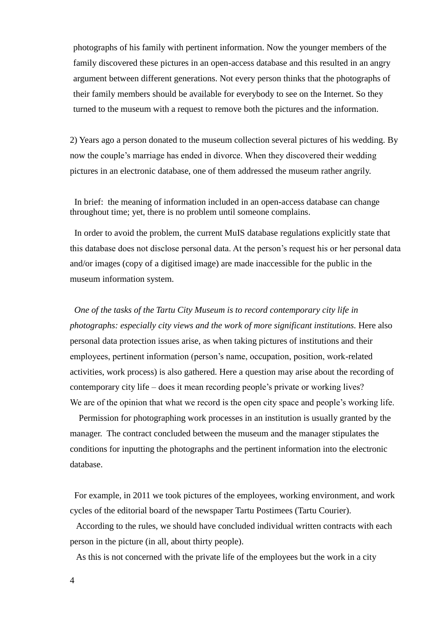photographs of his family with pertinent information. Now the younger members of the family discovered these pictures in an open-access database and this resulted in an angry argument between different generations. Not every person thinks that the photographs of their family members should be available for everybody to see on the Internet. So they turned to the museum with a request to remove both the pictures and the information.

2) Years ago a person donated to the museum collection several pictures of his wedding. By now the couple's marriage has ended in divorce. When they discovered their wedding pictures in an electronic database, one of them addressed the museum rather angrily.

 In brief: the meaning of information included in an open-access database can change throughout time; yet, there is no problem until someone complains.

 In order to avoid the problem, the current MuIS database regulations explicitly state that this database does not disclose personal data. At the person's request his or her personal data and/or images (copy of a digitised image) are made inaccessible for the public in the museum information system.

 *One of the tasks of the Tartu City Museum is to record contemporary city life in photographs: especially city views and the work of more significant institutions.* Here also personal data protection issues arise, as when taking pictures of institutions and their employees, pertinent information (person's name, occupation, position, work-related activities, work process) is also gathered. Here a question may arise about the recording of contemporary city life – does it mean recording people's private or working lives? We are of the opinion that what we record is the open city space and people's working life.

 Permission for photographing work processes in an institution is usually granted by the manager. The contract concluded between the museum and the manager stipulates the conditions for inputting the photographs and the pertinent information into the electronic database.

 For example, in 2011 we took pictures of the employees, working environment, and work cycles of the editorial board of the newspaper Tartu Postimees (Tartu Courier).

 According to the rules, we should have concluded individual written contracts with each person in the picture (in all, about thirty people).

As this is not concerned with the private life of the employees but the work in a city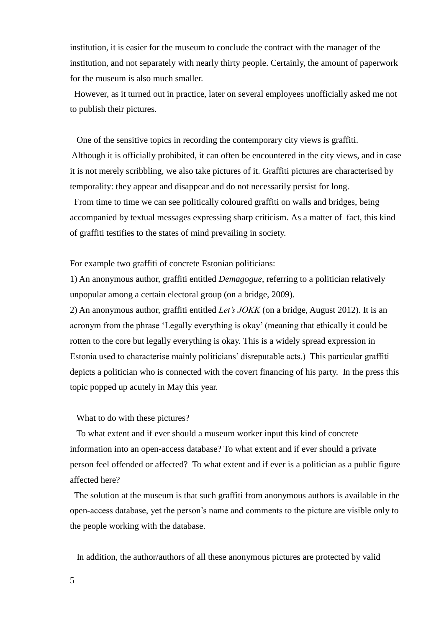institution, it is easier for the museum to conclude the contract with the manager of the institution, and not separately with nearly thirty people. Certainly, the amount of paperwork for the museum is also much smaller.

 However, as it turned out in practice, later on several employees unofficially asked me not to publish their pictures.

 One of the sensitive topics in recording the contemporary city views is graffiti. Although it is officially prohibited, it can often be encountered in the city views, and in case it is not merely scribbling, we also take pictures of it. Graffiti pictures are characterised by temporality: they appear and disappear and do not necessarily persist for long.

 From time to time we can see politically coloured graffiti on walls and bridges, being accompanied by textual messages expressing sharp criticism. As a matter of fact, this kind of graffiti testifies to the states of mind prevailing in society.

For example two graffiti of concrete Estonian politicians:

1) An anonymous author, graffiti entitled *Demagogue*, referring to a politician relatively unpopular among a certain electoral group (on a bridge, 2009).

2) An anonymous author, graffiti entitled *Let's JOKK* (on a bridge, August 2012). It is an acronym from the phrase 'Legally everything is okay' (meaning that ethically it could be rotten to the core but legally everything is okay. This is a widely spread expression in Estonia used to characterise mainly politicians' disreputable acts.) This particular graffiti depicts a politician who is connected with the covert financing of his party. In the press this topic popped up acutely in May this year.

What to do with these pictures?

 To what extent and if ever should a museum worker input this kind of concrete information into an open-access database? To what extent and if ever should a private person feel offended or affected? To what extent and if ever is a politician as a public figure affected here?

 The solution at the museum is that such graffiti from anonymous authors is available in the open-access database, yet the person's name and comments to the picture are visible only to the people working with the database.

In addition, the author/authors of all these anonymous pictures are protected by valid